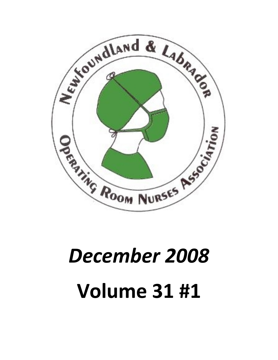

# *December 2008* **Volume 31 #1**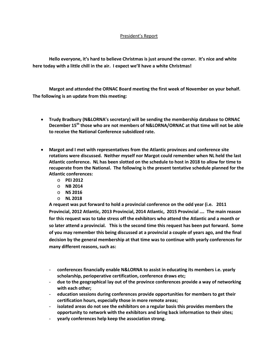### President's Report

**Hello everyone, it's hard to believe Christmas is just around the corner. It's nice and white here today with a little chill in the air. I expect we'll have a white Christmas!**

**Margot and attended the ORNAC Board meeting the first week of November on your behalf. The following is an update from this meeting:**

- **Trudy Bradbury (N&LORNA's secretary) will be sending the membership database to ORNAC December 15th those who are not members of N&LORNA/ORNAC at that time will not be able to receive the National Conference subsidized rate.**
- **Margot and I met with representatives from the Atlantic provinces and conference site rotations were discussed. Neither myself nor Margot could remember when NL held the last Atlantic conference. NL has been slotted on the schedule to host in 2018 to allow for time to recuperate from the National. The following is the present tentative schedule planned for the Atlantic conferences:**
	- o **PEI 2012**
	- o **NB 2014**
	- o **NS 2016**
	- o **NL 2018**

**A request was put forward to hold a provincial conference on the odd year (i.e. 2011 Provincial, 2012 Atlantic, 2013 Provincial, 2014 Atlantic, 2015 Provincial …. The main reason for this request was to take stress off the exhibitors who attend the Atlantic and a month or so later attend a provincial. This is the second time this request has been put forward. Some of you may remember this being discussed at a provincial a couple of years ago, and the final decision by the general membership at that time was to continue with yearly conferences for many different reasons, such as:**

- **conferences financially enable N&LORNA to assist in educating its members i.e. yearly scholarship, perioperative certification, conference draws etc;**
- **due to the geographical lay out of the province conferences provide a way of networking with each other;**
- **education sessions during conferences provide opportunities for members to get their certification hours, especially those in more remote areas;**
- isolated areas do not see the exhibitors on a regular basis this provides members the **opportunity to network with the exhibitors and bring back information to their sites;**
- **yearly conferences help keep the association strong.**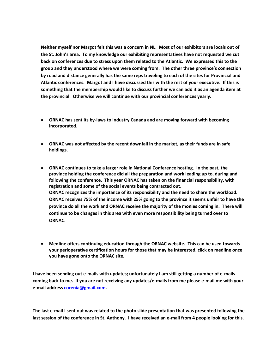Neither myself nor Margot felt this was a concern in NL. Most of theSt. John s area. To my knowledge to we selve by beithing the our estend awe of back on conferences due to stress **Aploam ttihce m We lakepodetsos ehdethis to** group and they understood where we were coming from. The other by road and edigset a arally has the same reps traveling to each of the Atlantic conferences. Margot and I have discussed this with the r something that the membership would d wicke to a did substandanglendancy something that the membership would discuss and its as fuandaped at an angendancy something that the membership would discuss at a the provincial. Otherwise we will continue with our provincial con

- ð· ORNAC has s-elanwisit bobiyn **Gastar**gha and are moving forward with becoming for the self of the self of the self of the self of the self of the self of the self of the self of the self of the self of the self of the s incorporated.
- ð· ORNAC wæs feoted by the recent downfall in the market, as their holdings.
- ð. ORNAC continues to take a larger role in National Conference h province holding the conference did all the prepanatizon dand wor following the conference. This year ORNAC has taken on the fi registration and some of the social events being contracted out. ORNAC recognizes the importance of its responsibility and the i ORNAC receives 75% of the income with 25% going to the province province do all the work and ORNAC receive the majority of the continue to be changes in this area with  $\oplus$  veeming of reever stoo nsibility ORNAC.
- ð. Medline offers continuing education through the ORNAC website your perioperative certification hours for those that may be inte you have gone onto the ORNAC site.

I have been semmolaniks owu the updates; unfortunately I am-msails getting a coming back to me. If you are not-mr**aclesiviroon anney-mpubedeasonee se**weith your e-mail addcroersesn@gmail.com

The last and I sent out was related to the photo slide presentation that last session of the conference in St. A-mitahiolnfyroml 4hapveeopreecelovoekd nagnfor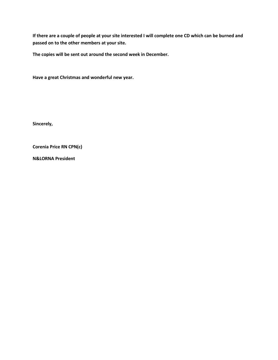**If there are a couple of people at your site interested I will complete one CD which can be burned and passed on to the other members at your site.**

**The copies will be sent out around the second week in December.**

**Have a great Christmas and wonderful new year.**

**Sincerely,**

**Corenia Price RN CPN(c)**

**N&LORNA President**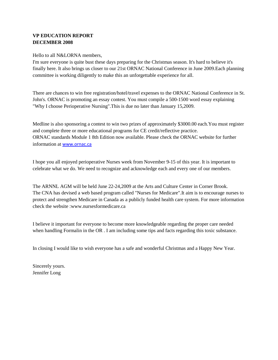# VP EDUCATION REPORT DECEMBER 2008

Hello to all N&LORNA members,

I'm sure everyone is quite bust these days preparing for the Christmas season. It's hard to believe it's finally here. It also brings us clesto our 21st ORNAC National Conference in June 2009. Each planning committee is working diligently to make this an unforgettable experience for all.

There are chances to win free registration/hotel/travel expenses to the ORNAC National Conference in John's. ORNAC is promoting an essay contest. You must compile **1500** word essay explaining "Why I choose Perioperative Nursing".This is due no later than January 15,2009.

Medline is also sponsoring a contestwio two prizes of approximately \$3000.00 each. You must register and complete three or more educational programs for CE credit/reflective practice. ORNAC standards Module 1 8th Edition now available. Please check the ORNAC website for further information  $\ddot{a}$  [www.orn](www.ornac.ca)ac.ca

I hope you all enjoyed perioperative Nurses week from November 9 this year. It is important to celebrate what we do. We need to recognize and acknowledge each and every one of our members.

The ARNNLAGM will be held June 2-24,2009 at the Arts and ulture Center in Corner Brook. The CNA has devised a web based program called "Nurses for Medicare".It aim is to encourage nurses to protect and strengthen Medicare Ganada as a publicly funded health care system. For more information check the websit[e :www.nursesformedicar](www.nursesformedicare.ca)e.ca

I believe it important for everyone to become more knowledgeable regarding the propered and when handling Formalin in the OR . I am including some tips and facts regarding this toxic substance.

In closing I would like to wish everyone has a safe and wonderful Christmas and a Happy New Year.

Sincerely yours. Jennifer Long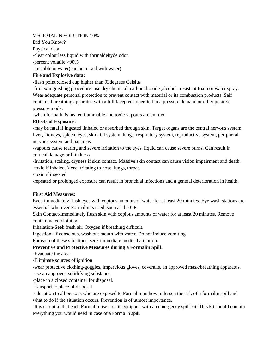### VFORMALIN SOLUTION 10%

Did You Know? Physical data: -clear colourless liquid with formaldehyde odor -percent volatile >90% -miscible in water(can be mixed with water)

### **Fire and Explosive data:**

**-**flash point :closed cup higher than 93degrees Celsius

-fire extinguishing procedure: use dry chemical ,carbon dioxide ,alcohol- resistant foam or water spray. Wear adequate personal protection to prevent contact with material or its combustion products. Self contained breathing apparatus with a full facepiece operated in a pressure demand or other positive pressure mode.

-when formalin is heated flammable and toxic vapours are emitted.

### **Effects of Exposure:**

-may be fatal if ingested ,inhaled or absorbed through skin. Target organs are the central nervous system, liver, kidneys, spleen, eyes, skin, GI system, lungs, respiratory system, reproductive system, peripheral nervous system and pancreas.

-vapours cause tearing and severe irritation to the eyes. liquid can cause severe burns. Can result in corneal damage or blindness.

-Irritation, scaling, dryness if skin contact. Massive skin contact can cause vision impairment and death. -toxic if inhaled. Very irritating to nose, lungs, throat.

-toxic if ingested

-repeated or prolonged exposure can result in bronchial infections and a general deterioration in health.

## **First Aid Measures:**

Eyes-immediately flush eyes with copious amounts of water for at least 20 minutes. Eye wash stations are essential wherever Formalin is used, such as the OR

Skin Contact-Immediately flush skin with copious amounts of water for at least 20 minutes. Remove contaminated clothing

Inhalation-Seek fresh air. Oxygen if breathing difficult.

Ingestion:-If conscious, wash out mouth with water. Do not induce vomiting

For each of these situations, seek immediate medical attention.

## **Preventive and Protective Measures during a Formalin Spill:**

**-**Evacuate the area

-Eliminate sources of ignition

-wear protective clothing-goggles, impervious gloves, coveralls, an approved mask/breathing apparatus.

-use an approved solidifying substance

-place in a closed container for disposal.

-transport to place of disposal

-education to all persons who are exposed to Formalin on how to lessen the risk of a formalin spill and what to do if the situation occurs. Prevention is of utmost importance.

-It is essential that each Formalin use area is equipped with an emergency spill kit. This kit should contain everything you would need in case of a Formalin spill.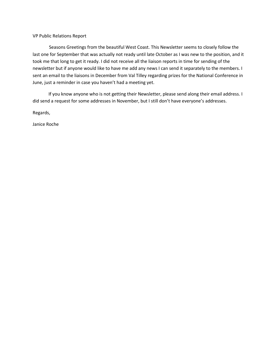VP Public Relations Report

Seasons Greetings from the beautiful West Coast. This Newsletter seems to closely follow the last one for September that was actually not ready until late October as I was new to the position, and it took me that long to get it ready. I did not receive all the liaison reports in time for sending of the newsletter but if anyone would like to have me add any news I can send it separately to the members. I sent an email to the liaisons in December from Val Tilley regarding prizes for the National Conference in June, just a reminder in case you haven't had a meeting yet.

 If you know anyone who is not getting their Newsletter, please send along their email address. I did send a request for some addresses in November, but I still don't have everyone's addresses.

Regards,

Janice Roche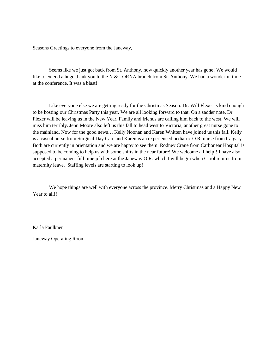Seasons Greetings to everyone from the Janeway,

Seems like we just got back from St. Anthony, how quickly another year has gone! We would like to extend a huge thank you to the N  $&$  LORNA branch from St. Anthony. We had a wonderful time at the conference. It was a blast!

Like everyone else we are getting ready for the Christmas Season. Dr. Will Flexer is kind enough to be hosting our Christmas Party this year. We are all looking forward to that. On a sadder note, Dr. Flexer will be leaving us in the New Year. Family and friends are calling him back to the west. We will miss him terribly. Jenn Moore also left us this fall to head west to Victoria, another great nurse gone to the mainland. Now for the good news… Kelly Noonan and Karen Whitten have joined us this fall. Kelly is a casual nurse from Surgical Day Care and Karen is an experienced pediatric O.R. nurse from Calgary. Both are currently in orientation and we are happy to see them. Rodney Crane from Carbonear Hospital is supposed to be coming to help us with some shifts in the near future! We welcome all help!! I have also accepted a permanent full time job here at the Janeway O.R. which I will begin when Carol returns from maternity leave. Staffing levels are starting to look up!

We hope things are well with everyone across the province. Merry Christmas and a Happy New Year to all!!

Karla Faulkner

Janeway Operating Room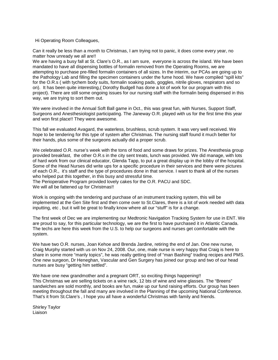### Hi Operating Room Colleagues,

Can it really be less than a month to Christmas, I am trying not to panic, it does come every year, no matter how unready we all are!!

We are having a busy fall at St. Clare's O.R., as I am sure, everyone is across the island. We have been mandated to have all dispensing bottles of formalin removed from the Operating Rooms, we are attempting to purchase pre-filled formalin containers of all sizes. In the interim, our PCAs are going up to the Pathology Lab and filling the specimen containers under the fume hood. We have compiled "spill kits" for the O.R.s ( with tychem body suits, formalin soaking pads, goggles, nitrile gloves, respirators and so on). It has been quite interesting,( Dorothy Budgell has done a lot of work for our program with this project). There are still some ongoing issues for our nursing staff with the formalin being dispensed in this way, we are trying to sort them out.

We were involved in the Annual Soft Ball game in Oct., this was great fun, with Nurses, Support Staff, Surgeons and Anesthesiologist participating. The Janeway O.R. played with us for the first time this year and won first place!! They were awesome.

This fall we evaluated Avagard, the waterless, brushless, scrub system. It was very well received. We hope to be tendering for this type of system after Christmas. The nursing staff found it much better for their hands, plus some of the surgeons actually did a proper scrub.

We celebrated O.R. nurse's week with the tons of food and some draws for prizes. The Anesthesia group provided breakfast, the other O.R.s in the city sent treats, lunch was provided. We did manage, with lots of hard work from our clinical educator, Glenda Tapp, to put a great display up in the lobby of the hospital. Some of the Head Nurses did write ups for a specific procedure in their services and there were pictures of each O.R., it's staff and the type of procedures done in that service. I want to thank all of the nurses who helped put this together, in this busy and stressful time.

The Perioperative Program provided lovely cakes for the O.R. PACU and SDC.

We will all be fattened up for Christmas!!

Work is ongoing with the tendering and purchase of an instrument tracking system, this will be implemented at the Gen Site first and then come over to St.Clares, there is a lot of work needed with data inputting, etc , but it will be great to finally know where all our "stuff" is for a change.

The first week of Dec we are implementing our Medtronic Navigation Tracking System for use in ENT. We are proud to say, for this particular technology, we are the first to have purchased it in Atlantic Canada. The techs are here this week from the U.S. to help our surgeons and nurses get comfortable with the system.

We have two O.R. nurses, Joan Kehoe and Brenda Jardine, retiring the end of Jan. One new nurse, Craig Murphy started with us on Nov 24, 2008. Our, one, male nurse is very happy that Craig is here to share in some more "manly topics", he was really getting tired of "man Bashing" trading recipes and PMS. One new surgeon, Dr Heneghan, Vascular and Gen Surgery has joined our group and two of our head nurses are busy "getting him settled".

We have one new grandmother and a pregnant ORT, so exciting things happening!! This Christmas we are selling tickets on a wine rack, 12 bts of wine and wine glasses. The "Breens" sandwiches are sold monthly, and books are fun, make up our fund raising efforts. Our group has been meeting throughout the fall and many are involved in the Planning of the upcoming National Conference. That's it from St.Clare's , I hope you all have a wonderful Christmas with family and friends.

Shirley Taylor Liaison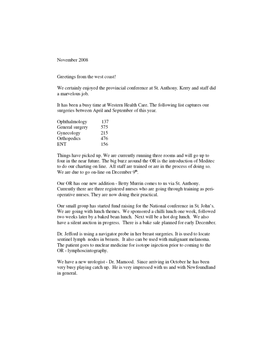November 2008

Greetings from the west coast!

We certainly enjoyed the provincial conference at St. Anthony. Kerry and staff did a marvelous job.

It has been a busy time at Western Health Care. The following list captures our surgeries between April and September of this year.

| Ophthalmology   | 137 |
|-----------------|-----|
| General surgery | 575 |
| Gynecology      | 215 |
| Orthopedics     | 476 |
| ENT             | 156 |

Things have picked up. We are currently running three rooms and will go up to four in the near future. The big buzz around the OR is the introduction of Meditec to do our charting on line. All staff are trained or are in the process of doing so. We are due to go on-line on December 9<sup>th</sup>.

Our OR has one new addition - Betty Murrin comes to us via St. Anthony. Currently there are three registered nurses who are going through training as perioperative nurses. They are now doing their practical.

Our small group has started fund raising for the National conference in St. John's. We are going with lunch themes. We sponsored a chilli lunch one week, followed two weeks later by a baked bean lunch. Next will be a hot dog lunch. We also have a silent auction in progress. There is a bake sale planned for early December.

Dr. Jefford is using a navigator probe in her breast surgeries. It is used to locate sentinel lymph nodes in breasts. It also can be used with malignant melanoma. The patient goes to nuclear medicine for isotope injection prior to coming to the OR - lymphoscintography.

We have a new urologist - Dr. Mamood. Since arriving in October he has been very busy playing catch up. He is very impressed with us and with Newfoundland in general.